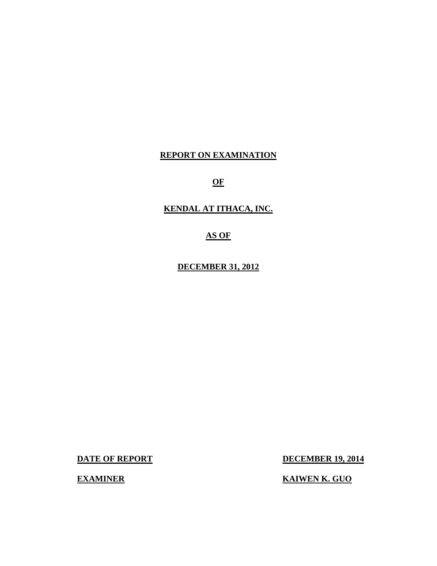## **REPORT ON EXAMINATION**

**OF** 

**KENDAL AT ITHACA, INC.** 

**AS OF** 

**DECEMBER 31, 2012** 

**DATE OF REPORT DECEMBER 19, 2014** 

**EXAMINER KAIWEN K. GUO**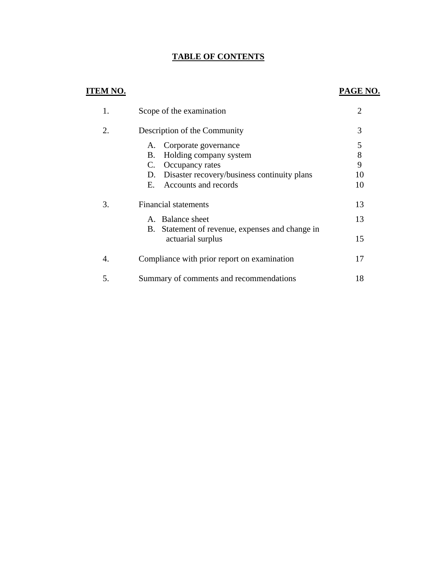## **TABLE OF CONTENTS**

## **ITEM NO. PAGE NO.**

|    | Scope of the examination                                                                                                                                               | $\overline{2}$          |
|----|------------------------------------------------------------------------------------------------------------------------------------------------------------------------|-------------------------|
| 2. | Description of the Community                                                                                                                                           | 3                       |
|    | Corporate governance<br>А.<br>Holding company system<br>В.<br>Occupancy rates<br>C.<br>Disaster recovery/business continuity plans<br>D.<br>Accounts and records<br>Е. | 5<br>8<br>9<br>10<br>10 |
| 3. | <b>Financial statements</b>                                                                                                                                            | 13                      |
|    | A. Balance sheet                                                                                                                                                       | 13                      |
|    | B. Statement of revenue, expenses and change in<br>actuarial surplus                                                                                                   | 15                      |
| 4. | Compliance with prior report on examination                                                                                                                            | 17                      |
| 5. | Summary of comments and recommendations                                                                                                                                | 18                      |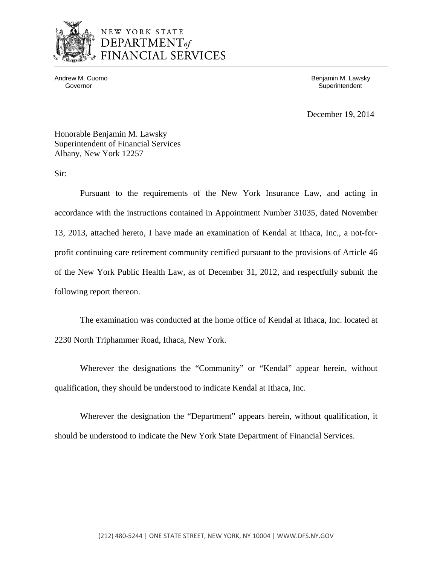

## NEW YORK STATE DEPARTMENT<sub>of</sub> FINANCIAL SERVICES

Andrew M. Cuomo **Benjamin M. Lawsky** Governor **Superintendent** Superintendent Superintendent Superintendent Superintendent Superintendent Superintendent

December 19, 2014

Honorable Benjamin M. Lawsky Superintendent of Financial Services Albany, New York 12257

Sir:

Pursuant to the requirements of the New York Insurance Law, and acting in accordance with the instructions contained in Appointment Number 31035, dated November 13, 2013, attached hereto, I have made an examination of Kendal at Ithaca, Inc., a not-forprofit continuing care retirement community certified pursuant to the provisions of Article 46 of the New York Public Health Law, as of December 31, 2012, and respectfully submit the following report thereon.

The examination was conducted at the home office of Kendal at Ithaca, Inc. located at 2230 North Triphammer Road, Ithaca, New York.

Wherever the designations the "Community" or "Kendal" appear herein, without qualification, they should be understood to indicate Kendal at Ithaca, Inc.

Wherever the designation the "Department" appears herein, without qualification, it should be understood to indicate the New York State Department of Financial Services.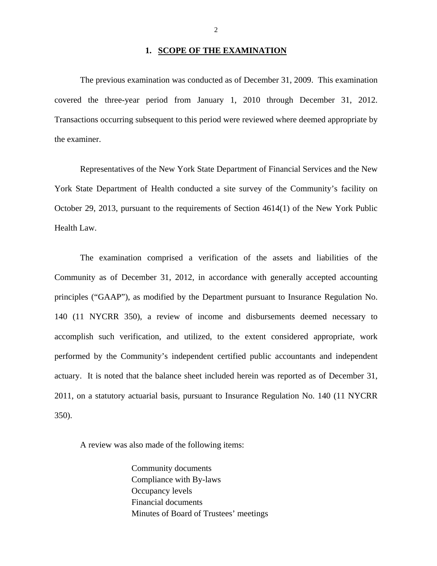### **1. SCOPE OF THE EXAMINATION**

The previous examination was conducted as of December 31, 2009. This examination covered the three-year period from January 1, 2010 through December 31, 2012. Transactions occurring subsequent to this period were reviewed where deemed appropriate by the examiner.

Representatives of the New York State Department of Financial Services and the New York State Department of Health conducted a site survey of the Community's facility on October 29, 2013, pursuant to the requirements of Section 4614(1) of the New York Public Health Law.

The examination comprised a verification of the assets and liabilities of the Community as of December 31, 2012, in accordance with generally accepted accounting principles ("GAAP"), as modified by the Department pursuant to Insurance Regulation No. 140 (11 NYCRR 350), a review of income and disbursements deemed necessary to accomplish such verification, and utilized, to the extent considered appropriate, work performed by the Community's independent certified public accountants and independent actuary. It is noted that the balance sheet included herein was reported as of December 31, 2011, on a statutory actuarial basis, pursuant to Insurance Regulation No. 140 (11 NYCRR 350).

A review was also made of the following items:

Community documents Compliance with By-laws Occupancy levels Financial documents Minutes of Board of Trustees' meetings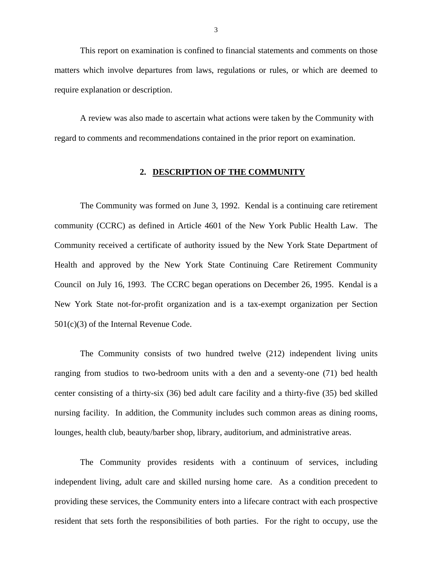This report on examination is confined to financial statements and comments on those matters which involve departures from laws, regulations or rules, or which are deemed to require explanation or description.

A review was also made to ascertain what actions were taken by the Community with regard to comments and recommendations contained in the prior report on examination.

#### **2. DESCRIPTION OF THE COMMUNITY**

The Community was formed on June 3, 1992. Kendal is a continuing care retirement community (CCRC) as defined in Article 4601 of the New York Public Health Law. The Community received a certificate of authority issued by the New York State Department of Health and approved by the New York State Continuing Care Retirement Community Council on July 16, 1993. The CCRC began operations on December 26, 1995. Kendal is a New York State not-for-profit organization and is a tax-exempt organization per Section 501(c)(3) of the Internal Revenue Code.

The Community consists of two hundred twelve (212) independent living units ranging from studios to two-bedroom units with a den and a seventy-one (71) bed health center consisting of a thirty-six (36) bed adult care facility and a thirty-five (35) bed skilled nursing facility. In addition, the Community includes such common areas as dining rooms, lounges, health club, beauty/barber shop, library, auditorium, and administrative areas.

The Community provides residents with a continuum of services, including independent living, adult care and skilled nursing home care. As a condition precedent to providing these services, the Community enters into a lifecare contract with each prospective resident that sets forth the responsibilities of both parties. For the right to occupy, use the

3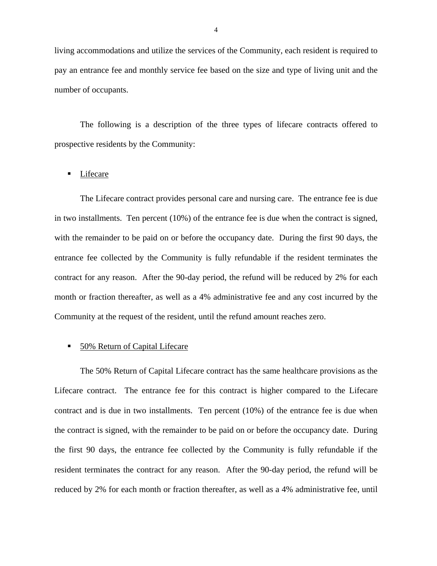living accommodations and utilize the services of the Community, each resident is required to pay an entrance fee and monthly service fee based on the size and type of living unit and the number of occupants.

The following is a description of the three types of lifecare contracts offered to prospective residents by the Community:

### **Lifecare**

The Lifecare contract provides personal care and nursing care. The entrance fee is due in two installments. Ten percent (10%) of the entrance fee is due when the contract is signed, with the remainder to be paid on or before the occupancy date. During the first 90 days, the entrance fee collected by the Community is fully refundable if the resident terminates the contract for any reason. After the 90-day period, the refund will be reduced by 2% for each month or fraction thereafter, as well as a 4% administrative fee and any cost incurred by the Community at the request of the resident, until the refund amount reaches zero.

## 50% Return of Capital Lifecare

The 50% Return of Capital Lifecare contract has the same healthcare provisions as the Lifecare contract. The entrance fee for this contract is higher compared to the Lifecare contract and is due in two installments. Ten percent (10%) of the entrance fee is due when the contract is signed, with the remainder to be paid on or before the occupancy date. During the first 90 days, the entrance fee collected by the Community is fully refundable if the resident terminates the contract for any reason. After the 90-day period, the refund will be reduced by 2% for each month or fraction thereafter, as well as a 4% administrative fee, until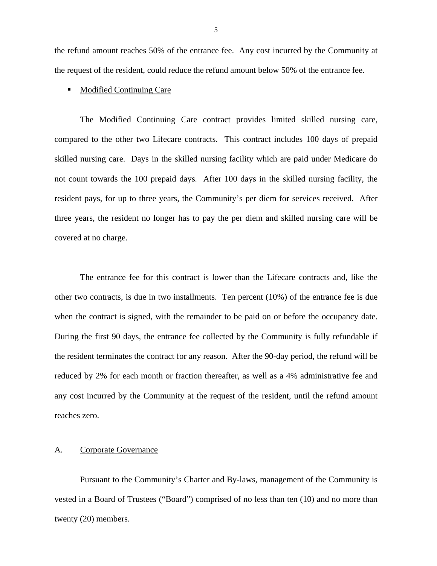<span id="page-6-0"></span>the refund amount reaches 50% of the entrance fee. Any cost incurred by the Community at the request of the resident, could reduce the refund amount below 50% of the entrance fee.

### Modified Continuing Care

The Modified Continuing Care contract provides limited skilled nursing care, compared to the other two Lifecare contracts. This contract includes 100 days of prepaid skilled nursing care. Days in the skilled nursing facility which are paid under Medicare do not count towards the 100 prepaid days. After 100 days in the skilled nursing facility, the resident pays, for up to three years, the Community's per diem for services received. After three years, the resident no longer has to pay the per diem and skilled nursing care will be covered at no charge.

The entrance fee for this contract is lower than the Lifecare contracts and, like the other two contracts, is due in two installments. Ten percent (10%) of the entrance fee is due when the contract is signed, with the remainder to be paid on or before the occupancy date. During the first 90 days, the entrance fee collected by the Community is fully refundable if the resident terminates the contract for any reason. After the 90-day period, the refund will be reduced by 2% for each month or fraction thereafter, as well as a 4% administrative fee and any cost incurred by the Community at the request of the resident, until the refund amount reaches zero.

#### A. Corporate Governance

Pursuant to the Community's Charter and By-laws, management of the Community is vested in a Board of Trustees ("Board") comprised of no less than ten (10) and no more than twenty (20) members.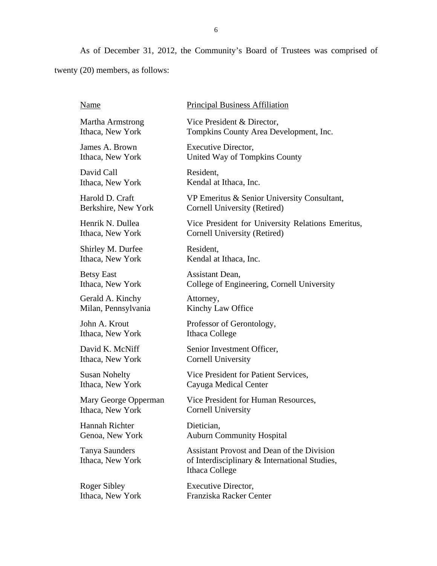As of December 31, 2012, the Community's Board of Trustees was comprised of twenty (20) members, as follows:

| Name                               | <b>Principal Business Affiliation</b>                                                                                |
|------------------------------------|----------------------------------------------------------------------------------------------------------------------|
| Martha Armstrong                   | Vice President & Director,                                                                                           |
| Ithaca, New York                   | Tompkins County Area Development, Inc.                                                                               |
| James A. Brown                     | Executive Director,                                                                                                  |
| Ithaca, New York                   | United Way of Tompkins County                                                                                        |
| David Call                         | Resident,                                                                                                            |
| Ithaca, New York                   | Kendal at Ithaca, Inc.                                                                                               |
| Harold D. Craft                    | VP Emeritus & Senior University Consultant,                                                                          |
| Berkshire, New York                | Cornell University (Retired)                                                                                         |
| Henrik N. Dullea                   | Vice President for University Relations Emeritus,                                                                    |
| Ithaca, New York                   | Cornell University (Retired)                                                                                         |
| Shirley M. Durfee                  | Resident,                                                                                                            |
| Ithaca, New York                   | Kendal at Ithaca, Inc.                                                                                               |
| <b>Betsy East</b>                  | Assistant Dean,                                                                                                      |
| Ithaca, New York                   | College of Engineering, Cornell University                                                                           |
| Gerald A. Kinchy                   | Attorney,                                                                                                            |
| Milan, Pennsylvania                | Kinchy Law Office                                                                                                    |
| John A. Krout                      | Professor of Gerontology,                                                                                            |
| Ithaca, New York                   | Ithaca College                                                                                                       |
| David K. McNiff                    | Senior Investment Officer,                                                                                           |
| Ithaca, New York                   | <b>Cornell University</b>                                                                                            |
| <b>Susan Nohelty</b>               | Vice President for Patient Services,                                                                                 |
| Ithaca, New York                   | Cayuga Medical Center                                                                                                |
| Mary George Opperman               | Vice President for Human Resources,                                                                                  |
| Ithaca, New York                   | <b>Cornell University</b>                                                                                            |
| Hannah Richter                     | Dietician,                                                                                                           |
| Genoa, New York                    | <b>Auburn Community Hospital</b>                                                                                     |
| Tanya Saunders<br>Ithaca, New York | <b>Assistant Provost and Dean of the Division</b><br>of Interdisciplinary & International Studies,<br>Ithaca College |
| Roger Sibley                       | Executive Director,                                                                                                  |
| Ithaca, New York                   | Franziska Racker Center                                                                                              |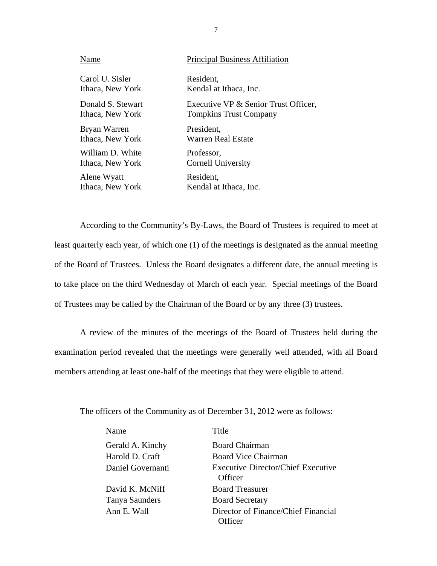| Name              | <b>Principal Business Affiliation</b> |
|-------------------|---------------------------------------|
| Carol U. Sisler   | Resident,                             |
| Ithaca, New York  | Kendal at Ithaca, Inc.                |
| Donald S. Stewart | Executive VP & Senior Trust Officer,  |
| Ithaca, New York  | <b>Tompkins Trust Company</b>         |
| Bryan Warren      | President,                            |
| Ithaca, New York  | Warren Real Estate                    |
| William D. White  | Professor,                            |
| Ithaca, New York  | Cornell University                    |
| Alene Wyatt       | Resident,                             |
| Ithaca, New York  | Kendal at Ithaca, Inc.                |

According to the Community's By-Laws, the Board of Trustees is required to meet at least quarterly each year, of which one (1) of the meetings is designated as the annual meeting of the Board of Trustees. Unless the Board designates a different date, the annual meeting is to take place on the third Wednesday of March of each year. Special meetings of the Board of Trustees may be called by the Chairman of the Board or by any three (3) trustees.

A review of the minutes of the meetings of the Board of Trustees held during the examination period revealed that the meetings were generally well attended, with all Board members attending at least one-half of the meetings that they were eligible to attend.

The officers of the Community as of December 31, 2012 were as follows:

| Name              | Title                                          |
|-------------------|------------------------------------------------|
| Gerald A. Kinchy  | <b>Board Chairman</b>                          |
| Harold D. Craft   | <b>Board Vice Chairman</b>                     |
| Daniel Governanti | Executive Director/Chief Executive<br>Officer  |
| David K. McNiff   | <b>Board Treasurer</b>                         |
| Tanya Saunders    | <b>Board Secretary</b>                         |
| Ann E. Wall       | Director of Finance/Chief Financial<br>ıfficer |

7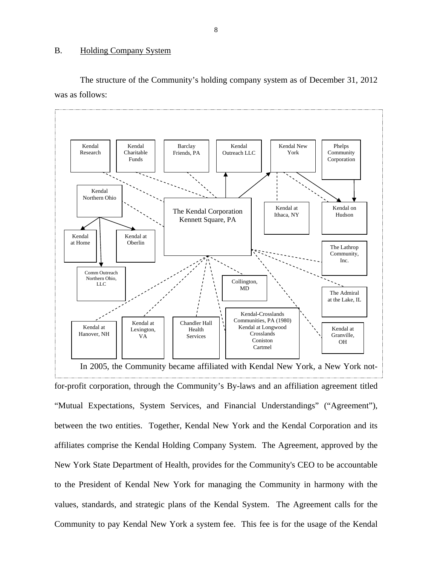## <span id="page-9-0"></span>B. Holding Company System

The structure of the Community's holding company system as of December 31, 2012 was as follows:



for-profit corporation, through the Community's By-laws and an affiliation agreement titled "Mutual Expectations, System Services, and Financial Understandings" ("Agreement"), between the two entities. Together, Kendal New York and the Kendal Corporation and its affiliates comprise the Kendal Holding Company System. The Agreement, approved by the New York State Department of Health, provides for the Community's CEO to be accountable to the President of Kendal New York for managing the Community in harmony with the values, standards, and strategic plans of the Kendal System. The Agreement calls for the Community to pay Kendal New York a system fee. This fee is for the usage of the Kendal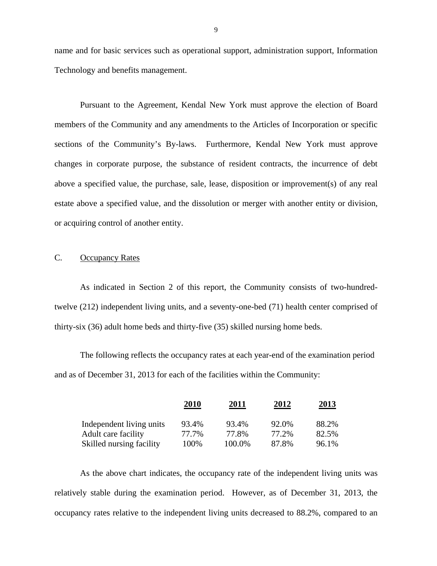name and for basic services such as operational support, administration support, Information Technology and benefits management.

Pursuant to the Agreement, Kendal New York must approve the election of Board members of the Community and any amendments to the Articles of Incorporation or specific sections of the Community's By-laws. Furthermore, Kendal New York must approve changes in corporate purpose, the substance of resident contracts, the incurrence of debt above a specified value, the purchase, sale, lease, disposition or improvement(s) of any real estate above a specified value, and the dissolution or merger with another entity or division, or acquiring control of another entity.

## C. Occupancy Rates

As indicated in Section 2 of this report, the Community consists of two-hundredtwelve (212) independent living units, and a seventy-one-bed (71) health center comprised of thirty-six (36) adult home beds and thirty-five (35) skilled nursing home beds.

The following reflects the occupancy rates at each year-end of the examination period and as of December 31, 2013 for each of the facilities within the Community:

|                          | 2010  | 2011   | 2012  | <u>2013</u> |
|--------------------------|-------|--------|-------|-------------|
| Independent living units | 93.4% | 93.4%  | 92.0% | 88.2%       |
| Adult care facility      | 77.7% | 77.8%  | 77.2% | 82.5%       |
| Skilled nursing facility | 100%  | 100.0% | 87.8% | 96.1%       |

As the above chart indicates, the occupancy rate of the independent living units was relatively stable during the examination period. However, as of December 31, 2013, the occupancy rates relative to the independent living units decreased to 88.2%, compared to an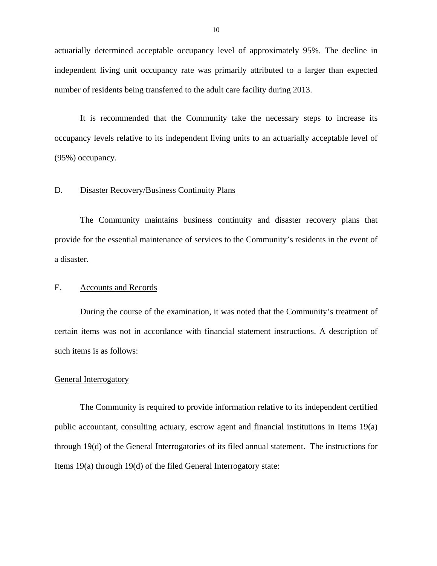<span id="page-11-0"></span>actuarially determined acceptable occupancy level of approximately 95%. The decline in independent living unit occupancy rate was primarily attributed to a larger than expected number of residents being transferred to the adult care facility during 2013.

It is recommended that the Community take the necessary steps to increase its occupancy levels relative to its independent living units to an actuarially acceptable level of (95%) occupancy.

## D. Disaster Recovery/Business Continuity Plans

The Community maintains business continuity and disaster recovery plans that provide for the essential maintenance of services to the Community's residents in the event of a disaster.

## E. Accounts and Records

During the course of the examination, it was noted that the Community's treatment of certain items was not in accordance with financial statement instructions. A description of such items is as follows:

#### General Interrogatory

The Community is required to provide information relative to its independent certified public accountant, consulting actuary, escrow agent and financial institutions in Items 19(a) through 19(d) of the General Interrogatories of its filed annual statement. The instructions for Items 19(a) through 19(d) of the filed General Interrogatory state: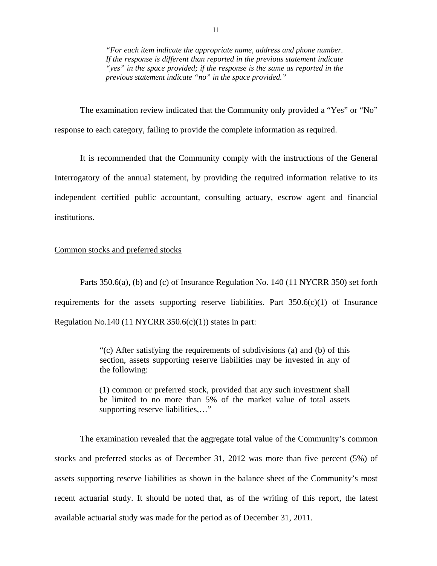*"For each item indicate the appropriate name, address and phone number. If the response is different than reported in the previous statement indicate "yes" in the space provided; if the response is the same as reported in the previous statement indicate "no" in the space provided."* 

The examination review indicated that the Community only provided a "Yes" or "No" response to each category, failing to provide the complete information as required.

It is recommended that the Community comply with the instructions of the General Interrogatory of the annual statement, by providing the required information relative to its independent certified public accountant, consulting actuary, escrow agent and financial institutions.

## Common stocks and preferred stocks

Parts 350.6(a), (b) and (c) of Insurance Regulation No. 140 (11 NYCRR 350) set forth requirements for the assets supporting reserve liabilities. Part  $350.6(c)(1)$  of Insurance Regulation No.140 (11 NYCRR  $350.6(c)(1)$ ) states in part:

> "(c) After satisfying the requirements of subdivisions (a) and (b) of this section, assets supporting reserve liabilities may be invested in any of the following:

> (1) common or preferred stock, provided that any such investment shall be limited to no more than 5% of the market value of total assets supporting reserve liabilities,…"

The examination revealed that the aggregate total value of the Community's common stocks and preferred stocks as of December 31, 2012 was more than five percent (5%) of assets supporting reserve liabilities as shown in the balance sheet of the Community's most recent actuarial study. It should be noted that, as of the writing of this report, the latest available actuarial study was made for the period as of December 31, 2011.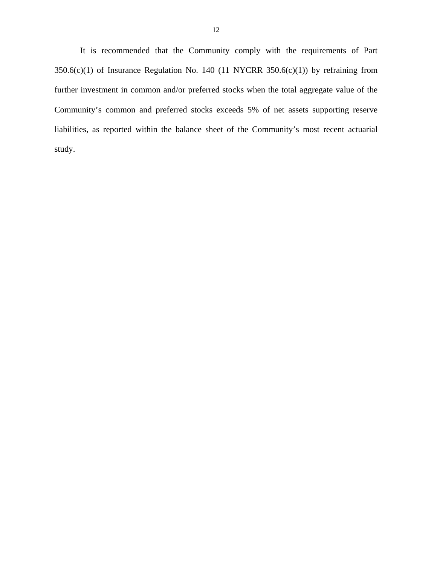It is recommended that the Community comply with the requirements of Part  $350.6(c)(1)$  of Insurance Regulation No. 140 (11 NYCRR  $350.6(c)(1)$ ) by refraining from further investment in common and/or preferred stocks when the total aggregate value of the Community's common and preferred stocks exceeds 5% of net assets supporting reserve liabilities, as reported within the balance sheet of the Community's most recent actuarial study.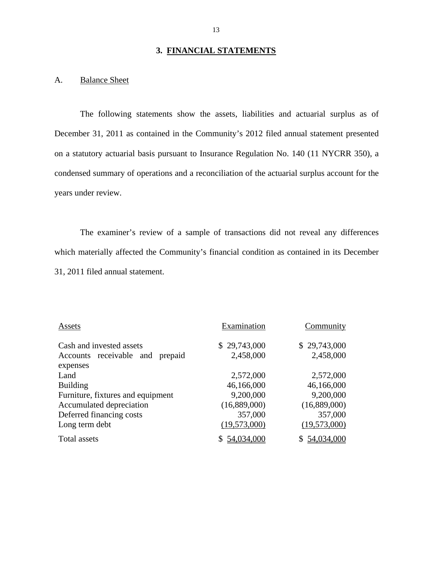## **3. FINANCIAL STATEMENTS**

## A. Balance Sheet

The following statements show the assets, liabilities and actuarial surplus as of December 31, 2011 as contained in the Community's 2012 filed annual statement presented on a statutory actuarial basis pursuant to Insurance Regulation No. 140 (11 NYCRR 350), a condensed summary of operations and a reconciliation of the actuarial surplus account for the years under review.

The examiner's review of a sample of transactions did not reveal any differences which materially affected the Community's financial condition as contained in its December 31, 2011 filed annual statement.

| Assets                            | Examination  | Community    |
|-----------------------------------|--------------|--------------|
| Cash and invested assets          | \$29,743,000 | \$29,743,000 |
| Accounts receivable and prepaid   | 2,458,000    | 2,458,000    |
| expenses                          |              |              |
| Land                              | 2,572,000    | 2,572,000    |
| <b>Building</b>                   | 46,166,000   | 46,166,000   |
| Furniture, fixtures and equipment | 9,200,000    | 9,200,000    |
| Accumulated depreciation          | (16,889,000) | (16,889,000) |
| Deferred financing costs          | 357,000      | 357,000      |
| Long term debt                    | (19,573,000) | (19,573,000) |
| Total assets                      | 54,034,000   | 54,034,000   |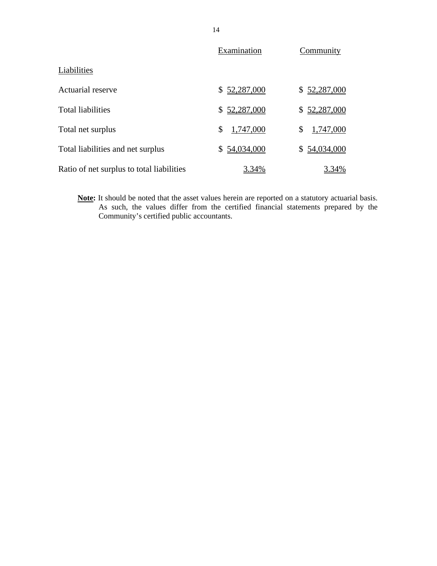|                                           | Examination     | Community       |
|-------------------------------------------|-----------------|-----------------|
| Liabilities                               |                 |                 |
| <b>Actuarial reserve</b>                  | \$52,287,000    | \$52,287,000    |
| <b>Total liabilities</b>                  | \$52,287,000    | \$52,287,000    |
| Total net surplus                         | \$<br>1,747,000 | 1,747,000<br>\$ |
| Total liabilities and net surplus         | \$54,034,000    | \$54,034,000    |
| Ratio of net surplus to total liabilities | 3.34%           | 3.34%           |

**Note:** It should be noted that the asset values herein are reported on a statutory actuarial basis. As such, the values differ from the certified financial statements prepared by the Community's certified public accountants.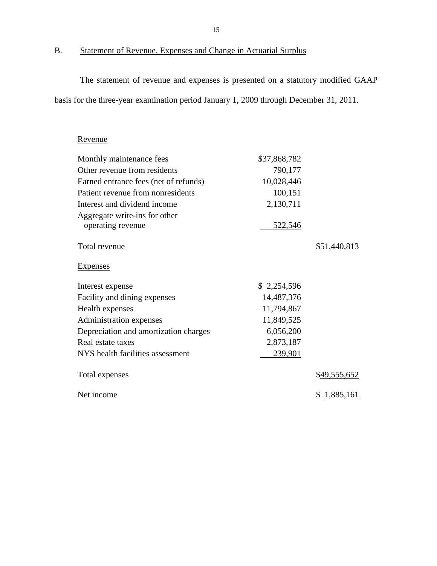B. Statement of Revenue, Expenses and Change in Actuarial Surplus

The statement of revenue and expenses is presented on a statutory modified GAAP basis for the three-year examination period January 1, 2009 through December 31, 2011.

## Revenue

| Monthly maintenance fees              | \$37,868,782   |              |
|---------------------------------------|----------------|--------------|
| Other revenue from residents          | 790,177        |              |
| Earned entrance fees (net of refunds) | 10,028,446     |              |
| Patient revenue from nonresidents     | 100,151        |              |
| Interest and dividend income          | 2,130,711      |              |
| Aggregate write-ins for other         |                |              |
| operating revenue                     | <u>522,546</u> |              |
| Total revenue                         |                | \$51,440,813 |
| <b>Expenses</b>                       |                |              |
| Interest expense                      | \$2,254,596    |              |
| Facility and dining expenses          | 14,487,376     |              |
| Health expenses                       | 11,794,867     |              |
| Administration expenses               | 11,849,525     |              |
| Depreciation and amortization charges | 6,056,200      |              |
| Real estate taxes                     | 2,873,187      |              |
| NYS health facilities assessment      | 239,901        |              |
| Total expenses                        |                | \$49,555,652 |
| Net income                            |                | \$1,885,161  |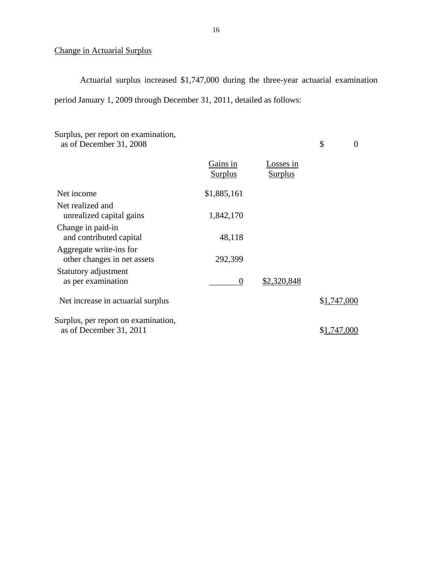## Change in Actuarial Surplus

Actuarial surplus increased \$1,747,000 during the three-year actuarial examination period January 1, 2009 through December 31, 2011, detailed as follows:

| Surplus, per report on examination,<br>as of December 31, 2008 |                            |                             | \$          | 0 |
|----------------------------------------------------------------|----------------------------|-----------------------------|-------------|---|
|                                                                | Gains in<br><b>Surplus</b> | Losses in<br><b>Surplus</b> |             |   |
| Net income                                                     | \$1,885,161                |                             |             |   |
| Net realized and<br>unrealized capital gains                   | 1,842,170                  |                             |             |   |
| Change in paid-in<br>and contributed capital                   | 48,118                     |                             |             |   |
| Aggregate write-ins for<br>other changes in net assets         | 292,399                    |                             |             |   |
| Statutory adjustment<br>as per examination                     | $\theta$                   | \$2,320,848                 |             |   |
| Net increase in actuarial surplus                              |                            |                             | \$1,747,000 |   |
| Surplus, per report on examination,<br>as of December 31, 2011 |                            |                             | \$1,747,000 |   |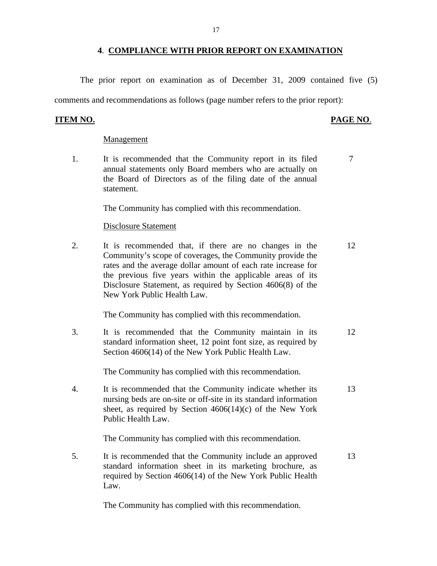## **4**. **COMPLIANCE WITH PRIOR REPORT ON EXAMINATION**

<span id="page-18-0"></span>The prior report on examination as of December 31, 2009 contained five (5)

comments and recommendations as follows (page number refers to the prior report):

## **ITEM NO. PAGE NO**.

#### Management

1. It is recommended that the Community report in its filed  $7$ annual statements only Board members who are actually on the Board of Directors as of the filing date of the annual statement.

The Community has complied with this recommendation.

### Disclosure Statement

2. It is recommended that, if there are no changes in the 12 Community's scope of coverages, the Community provide the rates and the average dollar amount of each rate increase for the previous five years within the applicable areas of its Disclosure Statement, as required by Section 4606(8) of the New York Public Health Law.

The Community has complied with this recommendation.

3. It is recommended that the Community maintain in its 12 standard information sheet, 12 point font size, as required by Section 4606(14) of the New York Public Health Law.

The Community has complied with this recommendation.

4. It is recommended that the Community indicate whether its 13 nursing beds are on-site or off-site in its standard information sheet, as required by Section  $4606(14)(c)$  of the New York Public Health Law.

The Community has complied with this recommendation.

5. It is recommended that the Community include an approved 13 standard information sheet in its marketing brochure, as required by Section 4606(14) of the New York Public Health Law.

The Community has complied with this recommendation.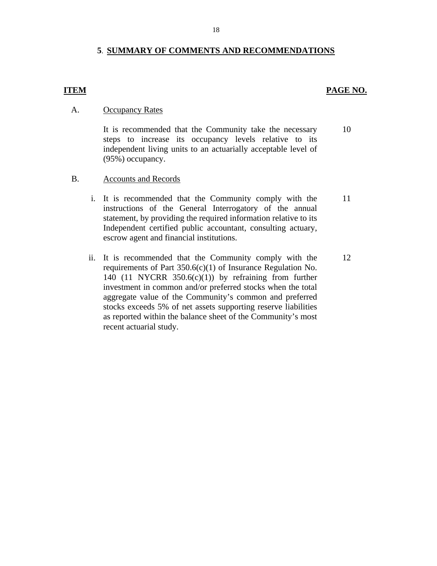## **5**. **SUMMARY OF COMMENTS AND RECOMMENDATIONS**

## **ITEM PAGE NO.**

11

12

#### A. **Occupancy Rates**

It is recommended that the Community take the necessary steps to increase its occupancy levels relative to its independent living units to an actuarially acceptable level of (95%) occupancy. 10

- B. Accounts and Records
	- i. It is recommended that the Community comply with the instructions of the General Interrogatory of the annual statement, by providing the required information relative to its Independent certified public accountant, consulting actuary, escrow agent and financial institutions.
	- ii. It is recommended that the Community comply with the requirements of Part 350.6(c)(1) of Insurance Regulation No. 140 (11 NYCRR  $350.6(c)(1)$ ) by refraining from further investment in common and/or preferred stocks when the total aggregate value of the Community's common and preferred stocks exceeds 5% of net assets supporting reserve liabilities as reported within the balance sheet of the Community's most recent actuarial study.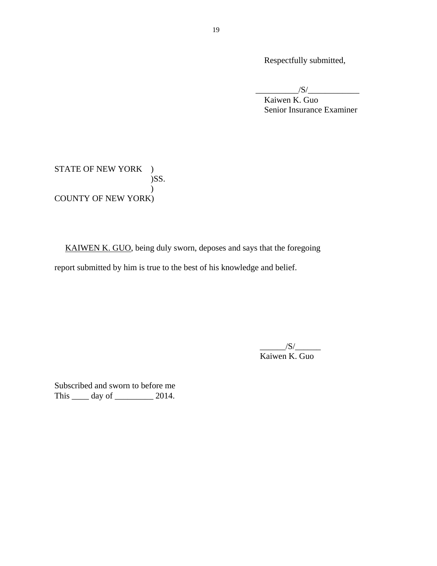Respectfully submitted,

 $\sqrt{S/}$ 

Kaiwen K. Guo Senior Insurance Examiner

STATE OF NEW YORK ) )SS.  $\mathcal{L}$ COUNTY OF NEW YORK)

KAIWEN K. GUO, being duly sworn, deposes and says that the foregoing report submitted by him is true to the best of his knowledge and belief.

> $/S/$ Kaiwen K. Guo

Subscribed and sworn to before me This \_\_\_\_\_\_ day of \_\_\_\_\_\_\_\_\_\_ 2014.